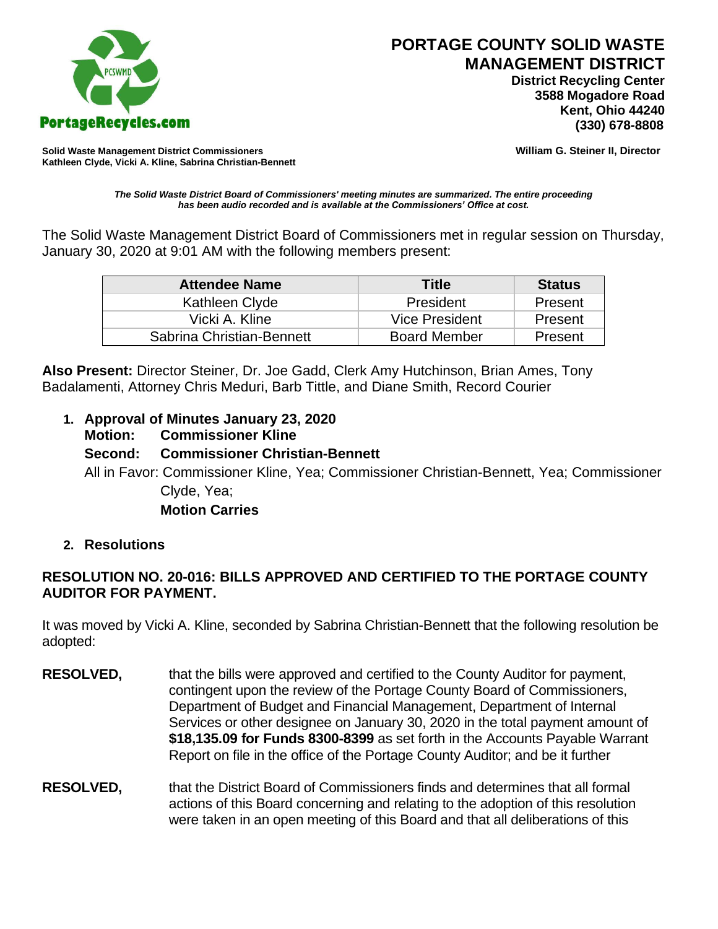

 **District Recycling Center 3588 Mogadore Road Kent, Ohio 44240**

**Solid Waste Management District Commissioners William G. Steiner II, Director Kathleen Clyde, Vicki A. Kline, Sabrina Christian-Bennett** 

*The Solid Waste District Board of Commissioners' meeting minutes are summarized. The entire proceeding has been audio recorded and is available at the Commissioners' Office at cost.*

The Solid Waste Management District Board of Commissioners met in regular session on Thursday, January 30, 2020 at 9:01 AM with the following members present:

| <b>Attendee Name</b>      | <b>Title</b>        | <b>Status</b> |
|---------------------------|---------------------|---------------|
| Kathleen Clyde            | President           | Present       |
| Vicki A. Kline            | Vice President      | Present       |
| Sabrina Christian-Bennett | <b>Board Member</b> | Present       |

**Also Present:** Director Steiner, Dr. Joe Gadd, Clerk Amy Hutchinson, Brian Ames, Tony Badalamenti, Attorney Chris Meduri, Barb Tittle, and Diane Smith, Record Courier

**1. Approval of Minutes January 23, 2020 Motion: Commissioner Kline Second: Commissioner Christian-Bennett** All in Favor: Commissioner Kline, Yea; Commissioner Christian-Bennett, Yea; Commissioner Clyde, Yea; **Motion Carries** 

## **2. Resolutions**

# **RESOLUTION NO. 20-016: BILLS APPROVED AND CERTIFIED TO THE PORTAGE COUNTY AUDITOR FOR PAYMENT.**

It was moved by Vicki A. Kline, seconded by Sabrina Christian-Bennett that the following resolution be adopted:

- **RESOLVED,** that the bills were approved and certified to the County Auditor for payment, contingent upon the review of the Portage County Board of Commissioners, Department of Budget and Financial Management, Department of Internal Services or other designee on January 30, 2020 in the total payment amount of **\$18,135.09 for Funds 8300-8399** as set forth in the Accounts Payable Warrant Report on file in the office of the Portage County Auditor; and be it further
- **RESOLVED,** that the District Board of Commissioners finds and determines that all formal actions of this Board concerning and relating to the adoption of this resolution were taken in an open meeting of this Board and that all deliberations of this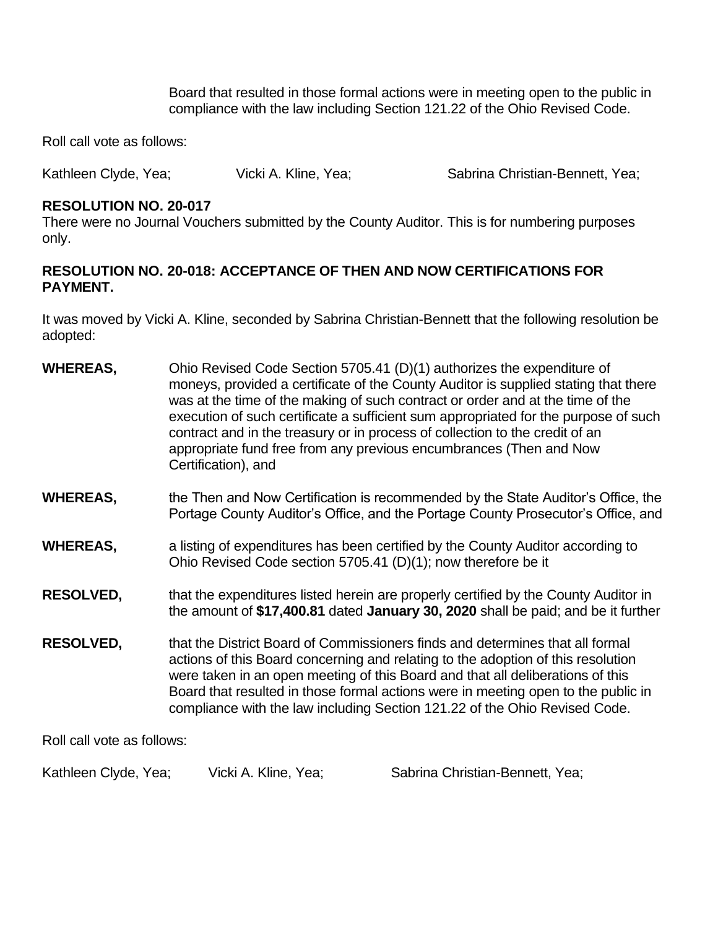Board that resulted in those formal actions were in meeting open to the public in compliance with the law including Section 121.22 of the Ohio Revised Code.

Roll call vote as follows:

Kathleen Clyde, Yea; Vicki A. Kline, Yea; Sabrina Christian-Bennett, Yea;

### **RESOLUTION NO. 20-017**

There were no Journal Vouchers submitted by the County Auditor. This is for numbering purposes only.

## **RESOLUTION NO. 20-018: ACCEPTANCE OF THEN AND NOW CERTIFICATIONS FOR PAYMENT.**

It was moved by Vicki A. Kline, seconded by Sabrina Christian-Bennett that the following resolution be adopted:

- **WHEREAS,** Ohio Revised Code Section 5705.41 (D)(1) authorizes the expenditure of moneys, provided a certificate of the County Auditor is supplied stating that there was at the time of the making of such contract or order and at the time of the execution of such certificate a sufficient sum appropriated for the purpose of such contract and in the treasury or in process of collection to the credit of an appropriate fund free from any previous encumbrances (Then and Now Certification), and
- **WHEREAS,** the Then and Now Certification is recommended by the State Auditor's Office, the Portage County Auditor's Office, and the Portage County Prosecutor's Office, and
- **WHEREAS,** a listing of expenditures has been certified by the County Auditor according to Ohio Revised Code section 5705.41 (D)(1); now therefore be it
- **RESOLVED,** that the expenditures listed herein are properly certified by the County Auditor in the amount of **\$17,400.81** dated **January 30, 2020** shall be paid; and be it further
- **RESOLVED,** that the District Board of Commissioners finds and determines that all formal actions of this Board concerning and relating to the adoption of this resolution were taken in an open meeting of this Board and that all deliberations of this Board that resulted in those formal actions were in meeting open to the public in compliance with the law including Section 121.22 of the Ohio Revised Code.

Roll call vote as follows:

Kathleen Clyde, Yea; Clicki A. Kline, Yea; Sabrina Christian-Bennett, Yea;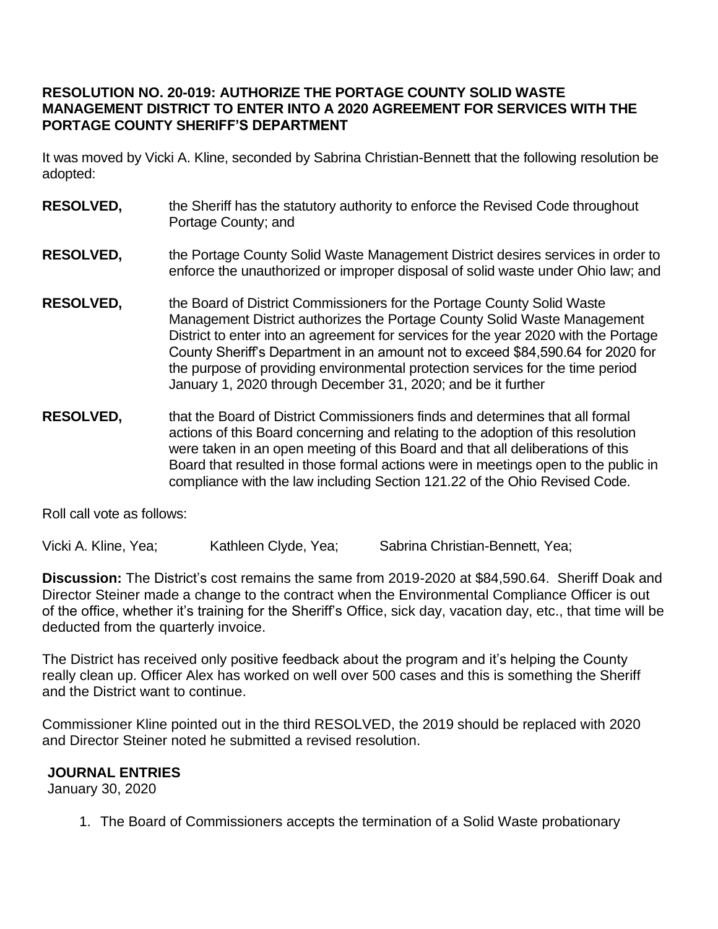## **RESOLUTION NO. 20-019: AUTHORIZE THE PORTAGE COUNTY SOLID WASTE MANAGEMENT DISTRICT TO ENTER INTO A 2020 AGREEMENT FOR SERVICES WITH THE PORTAGE COUNTY SHERIFF'S DEPARTMENT**

It was moved by Vicki A. Kline, seconded by Sabrina Christian-Bennett that the following resolution be adopted:

- **RESOLVED,** the Sheriff has the statutory authority to enforce the Revised Code throughout Portage County; and
- **RESOLVED,** the Portage County Solid Waste Management District desires services in order to enforce the unauthorized or improper disposal of solid waste under Ohio law; and
- **RESOLVED,** the Board of District Commissioners for the Portage County Solid Waste Management District authorizes the Portage County Solid Waste Management District to enter into an agreement for services for the year 2020 with the Portage County Sheriff's Department in an amount not to exceed \$84,590.64 for 2020 for the purpose of providing environmental protection services for the time period January 1, 2020 through December 31, 2020; and be it further
- **RESOLVED,** that the Board of District Commissioners finds and determines that all formal actions of this Board concerning and relating to the adoption of this resolution were taken in an open meeting of this Board and that all deliberations of this Board that resulted in those formal actions were in meetings open to the public in compliance with the law including Section 121.22 of the Ohio Revised Code.

Roll call vote as follows:

Vicki A. Kline, Yea; Kathleen Clyde, Yea; Sabrina Christian-Bennett, Yea;

**Discussion:** The District's cost remains the same from 2019-2020 at \$84,590.64. Sheriff Doak and Director Steiner made a change to the contract when the Environmental Compliance Officer is out of the office, whether it's training for the Sheriff's Office, sick day, vacation day, etc., that time will be deducted from the quarterly invoice.

The District has received only positive feedback about the program and it's helping the County really clean up. Officer Alex has worked on well over 500 cases and this is something the Sheriff and the District want to continue.

Commissioner Kline pointed out in the third RESOLVED, the 2019 should be replaced with 2020 and Director Steiner noted he submitted a revised resolution.

## **JOURNAL ENTRIES**

January 30, 2020

1. The Board of Commissioners accepts the termination of a Solid Waste probationary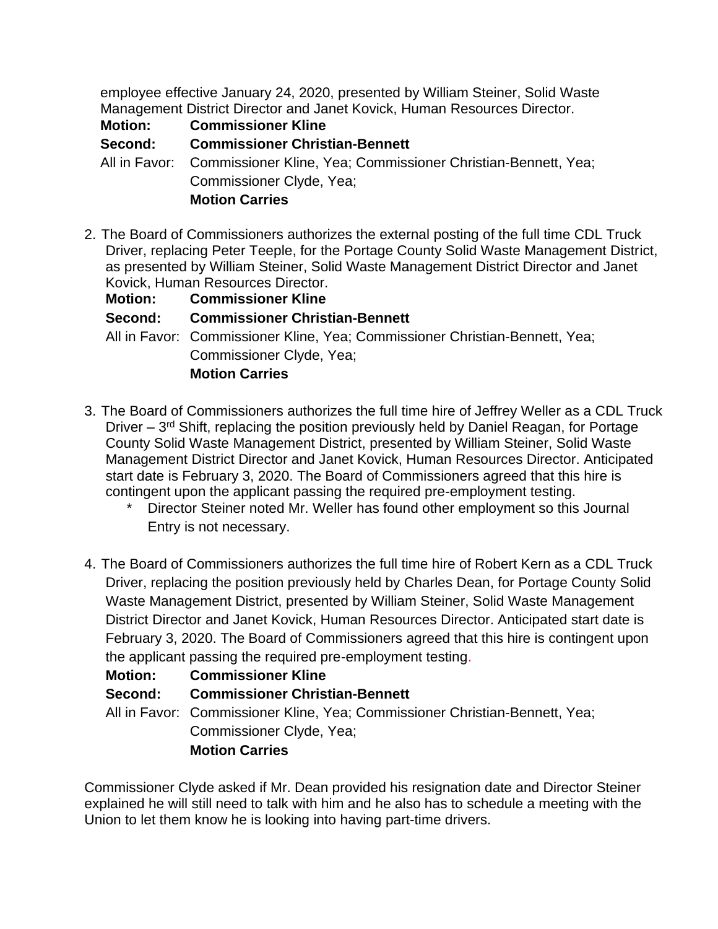employee effective January 24, 2020, presented by William Steiner, Solid Waste Management District Director and Janet Kovick, Human Resources Director.

**Motion: Commissioner Kline**

**Second: Commissioner Christian-Bennett**

All in Favor: Commissioner Kline, Yea; Commissioner Christian-Bennett, Yea; Commissioner Clyde, Yea; **Motion Carries** 

2. The Board of Commissioners authorizes the external posting of the full time CDL Truck Driver, replacing Peter Teeple, for the Portage County Solid Waste Management District, as presented by William Steiner, Solid Waste Management District Director and Janet Kovick, Human Resources Director.

| <b>Motion:</b> | <b>Commissioner Kline</b>                                                   |
|----------------|-----------------------------------------------------------------------------|
| Second:        | <b>Commissioner Christian-Bennett</b>                                       |
|                | All in Favor: Commissioner Kline, Yea; Commissioner Christian-Bennett, Yea; |
|                | Commissioner Clyde, Yea;                                                    |
|                | <b>Motion Carries</b>                                                       |

- 3. The Board of Commissioners authorizes the full time hire of Jeffrey Weller as a CDL Truck Driver – 3<sup>rd</sup> Shift, replacing the position previously held by Daniel Reagan, for Portage County Solid Waste Management District, presented by William Steiner, Solid Waste Management District Director and Janet Kovick, Human Resources Director. Anticipated start date is February 3, 2020. The Board of Commissioners agreed that this hire is contingent upon the applicant passing the required pre-employment testing.
	- Director Steiner noted Mr. Weller has found other employment so this Journal Entry is not necessary.
- 4. The Board of Commissioners authorizes the full time hire of Robert Kern as a CDL Truck Driver, replacing the position previously held by Charles Dean, for Portage County Solid Waste Management District, presented by William Steiner, Solid Waste Management District Director and Janet Kovick, Human Resources Director. Anticipated start date is February 3, 2020. The Board of Commissioners agreed that this hire is contingent upon the applicant passing the required pre-employment testing.

| Motion: | <b>Commissioner Kline</b>                                                   |
|---------|-----------------------------------------------------------------------------|
| Second: | <b>Commissioner Christian-Bennett</b>                                       |
|         | All in Favor: Commissioner Kline, Yea; Commissioner Christian-Bennett, Yea; |
|         | Commissioner Clyde, Yea;                                                    |
|         | <b>Motion Carries</b>                                                       |

Commissioner Clyde asked if Mr. Dean provided his resignation date and Director Steiner explained he will still need to talk with him and he also has to schedule a meeting with the Union to let them know he is looking into having part-time drivers.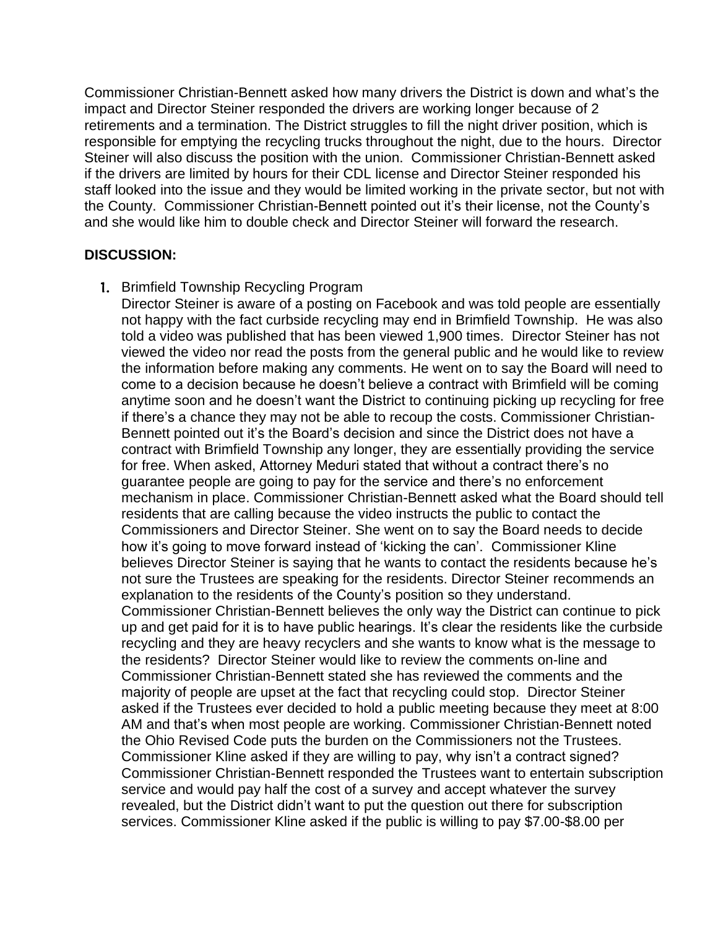Commissioner Christian-Bennett asked how many drivers the District is down and what's the impact and Director Steiner responded the drivers are working longer because of 2 retirements and a termination. The District struggles to fill the night driver position, which is responsible for emptying the recycling trucks throughout the night, due to the hours. Director Steiner will also discuss the position with the union. Commissioner Christian-Bennett asked if the drivers are limited by hours for their CDL license and Director Steiner responded his staff looked into the issue and they would be limited working in the private sector, but not with the County. Commissioner Christian-Bennett pointed out it's their license, not the County's and she would like him to double check and Director Steiner will forward the research.

### **DISCUSSION:**

1. Brimfield Township Recycling Program

Director Steiner is aware of a posting on Facebook and was told people are essentially not happy with the fact curbside recycling may end in Brimfield Township. He was also told a video was published that has been viewed 1,900 times. Director Steiner has not viewed the video nor read the posts from the general public and he would like to review the information before making any comments. He went on to say the Board will need to come to a decision because he doesn't believe a contract with Brimfield will be coming anytime soon and he doesn't want the District to continuing picking up recycling for free if there's a chance they may not be able to recoup the costs. Commissioner Christian-Bennett pointed out it's the Board's decision and since the District does not have a contract with Brimfield Township any longer, they are essentially providing the service for free. When asked, Attorney Meduri stated that without a contract there's no guarantee people are going to pay for the service and there's no enforcement mechanism in place. Commissioner Christian-Bennett asked what the Board should tell residents that are calling because the video instructs the public to contact the Commissioners and Director Steiner. She went on to say the Board needs to decide how it's going to move forward instead of 'kicking the can'. Commissioner Kline believes Director Steiner is saying that he wants to contact the residents because he's not sure the Trustees are speaking for the residents. Director Steiner recommends an explanation to the residents of the County's position so they understand. Commissioner Christian-Bennett believes the only way the District can continue to pick up and get paid for it is to have public hearings. It's clear the residents like the curbside recycling and they are heavy recyclers and she wants to know what is the message to the residents? Director Steiner would like to review the comments on-line and Commissioner Christian-Bennett stated she has reviewed the comments and the majority of people are upset at the fact that recycling could stop. Director Steiner asked if the Trustees ever decided to hold a public meeting because they meet at 8:00 AM and that's when most people are working. Commissioner Christian-Bennett noted the Ohio Revised Code puts the burden on the Commissioners not the Trustees. Commissioner Kline asked if they are willing to pay, why isn't a contract signed? Commissioner Christian-Bennett responded the Trustees want to entertain subscription service and would pay half the cost of a survey and accept whatever the survey revealed, but the District didn't want to put the question out there for subscription services. Commissioner Kline asked if the public is willing to pay \$7.00-\$8.00 per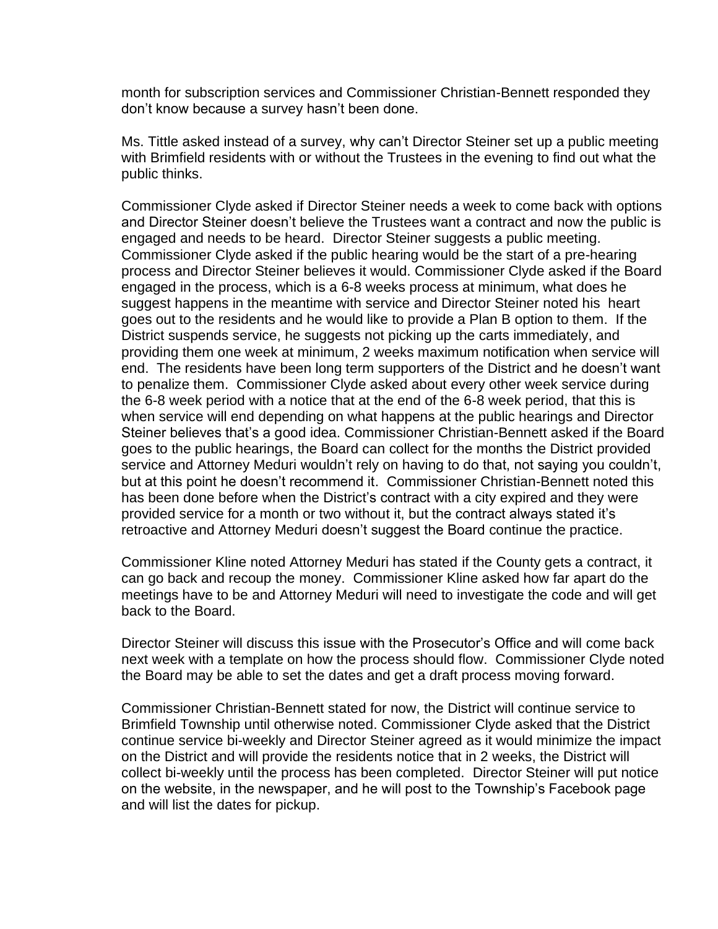month for subscription services and Commissioner Christian-Bennett responded they don't know because a survey hasn't been done.

Ms. Tittle asked instead of a survey, why can't Director Steiner set up a public meeting with Brimfield residents with or without the Trustees in the evening to find out what the public thinks.

Commissioner Clyde asked if Director Steiner needs a week to come back with options and Director Steiner doesn't believe the Trustees want a contract and now the public is engaged and needs to be heard. Director Steiner suggests a public meeting. Commissioner Clyde asked if the public hearing would be the start of a pre-hearing process and Director Steiner believes it would. Commissioner Clyde asked if the Board engaged in the process, which is a 6-8 weeks process at minimum, what does he suggest happens in the meantime with service and Director Steiner noted his heart goes out to the residents and he would like to provide a Plan B option to them. If the District suspends service, he suggests not picking up the carts immediately, and providing them one week at minimum, 2 weeks maximum notification when service will end. The residents have been long term supporters of the District and he doesn't want to penalize them. Commissioner Clyde asked about every other week service during the 6-8 week period with a notice that at the end of the 6-8 week period, that this is when service will end depending on what happens at the public hearings and Director Steiner believes that's a good idea. Commissioner Christian-Bennett asked if the Board goes to the public hearings, the Board can collect for the months the District provided service and Attorney Meduri wouldn't rely on having to do that, not saying you couldn't, but at this point he doesn't recommend it. Commissioner Christian-Bennett noted this has been done before when the District's contract with a city expired and they were provided service for a month or two without it, but the contract always stated it's retroactive and Attorney Meduri doesn't suggest the Board continue the practice.

Commissioner Kline noted Attorney Meduri has stated if the County gets a contract, it can go back and recoup the money. Commissioner Kline asked how far apart do the meetings have to be and Attorney Meduri will need to investigate the code and will get back to the Board.

Director Steiner will discuss this issue with the Prosecutor's Office and will come back next week with a template on how the process should flow. Commissioner Clyde noted the Board may be able to set the dates and get a draft process moving forward.

Commissioner Christian-Bennett stated for now, the District will continue service to Brimfield Township until otherwise noted. Commissioner Clyde asked that the District continue service bi-weekly and Director Steiner agreed as it would minimize the impact on the District and will provide the residents notice that in 2 weeks, the District will collect bi-weekly until the process has been completed. Director Steiner will put notice on the website, in the newspaper, and he will post to the Township's Facebook page and will list the dates for pickup.